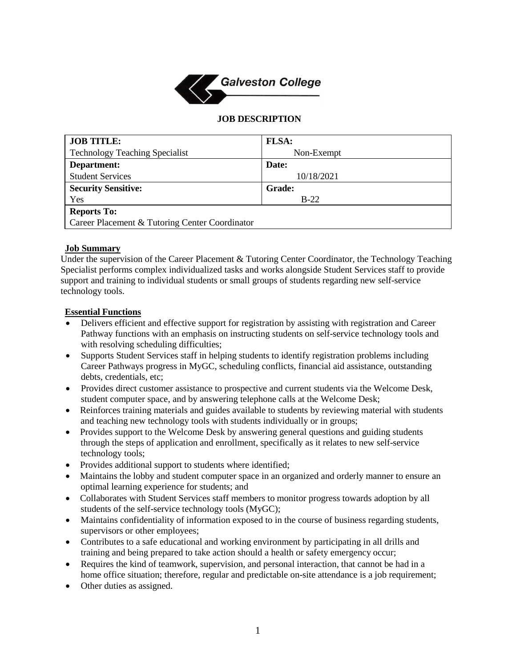

#### **JOB DESCRIPTION**

| <b>JOB TITLE:</b>                              | <b>FLSA:</b>  |
|------------------------------------------------|---------------|
| <b>Technology Teaching Specialist</b>          | Non-Exempt    |
| Department:                                    | Date:         |
| <b>Student Services</b>                        | 10/18/2021    |
| <b>Security Sensitive:</b>                     | <b>Grade:</b> |
| Yes                                            | $B-22$        |
| <b>Reports To:</b>                             |               |
| Career Placement & Tutoring Center Coordinator |               |

#### **Job Summary**

Under the supervision of the Career Placement & Tutoring Center Coordinator, the Technology Teaching Specialist performs complex individualized tasks and works alongside Student Services staff to provide support and training to individual students or small groups of students regarding new self-service technology tools.

### **Essential Functions**

- Delivers efficient and effective support for registration by assisting with registration and Career Pathway functions with an emphasis on instructing students on self-service technology tools and with resolving scheduling difficulties;
- Supports Student Services staff in helping students to identify registration problems including Career Pathways progress in MyGC, scheduling conflicts, financial aid assistance, outstanding debts, credentials, etc;
- Provides direct customer assistance to prospective and current students via the Welcome Desk, student computer space, and by answering telephone calls at the Welcome Desk;
- Reinforces training materials and guides available to students by reviewing material with students and teaching new technology tools with students individually or in groups;
- Provides support to the Welcome Desk by answering general questions and guiding students through the steps of application and enrollment, specifically as it relates to new self-service technology tools;
- Provides additional support to students where identified;
- Maintains the lobby and student computer space in an organized and orderly manner to ensure an optimal learning experience for students; and
- Collaborates with Student Services staff members to monitor progress towards adoption by all students of the self-service technology tools (MyGC);
- Maintains confidentiality of information exposed to in the course of business regarding students, supervisors or other employees;
- Contributes to a safe educational and working environment by participating in all drills and training and being prepared to take action should a health or safety emergency occur;
- Requires the kind of teamwork, supervision, and personal interaction, that cannot be had in a home office situation; therefore, regular and predictable on-site attendance is a job requirement;
- Other duties as assigned.